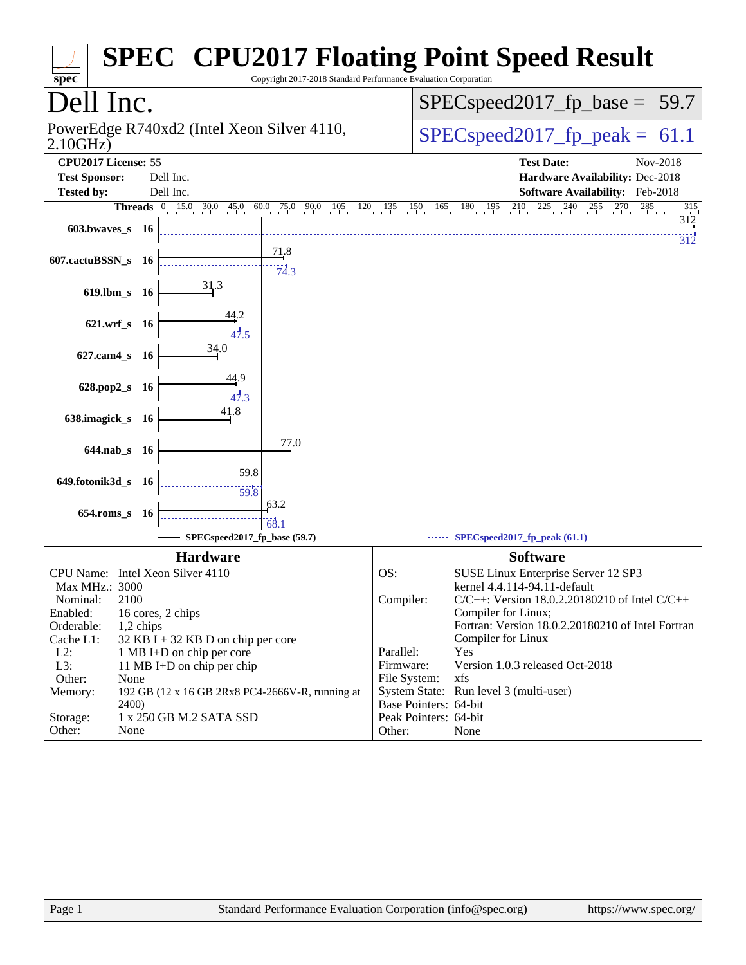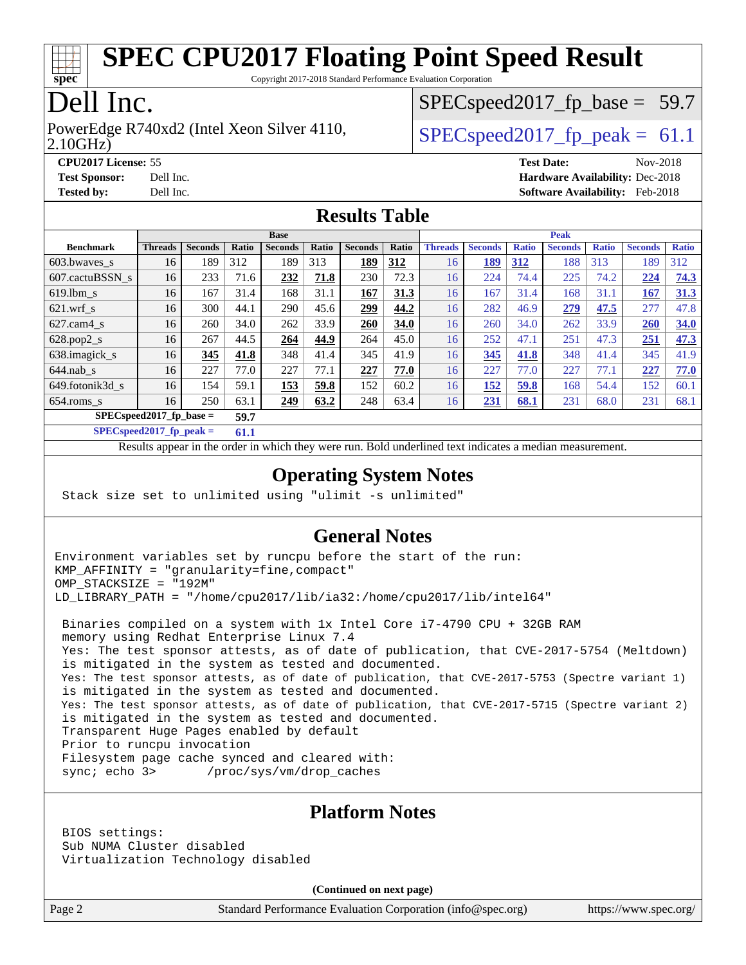

Copyright 2017-2018 Standard Performance Evaluation Corporation

## Dell Inc.

2.10GHz) PowerEdge R740xd2 (Intel Xeon Silver 4110,  $\vert$  [SPECspeed2017\\_fp\\_peak =](http://www.spec.org/auto/cpu2017/Docs/result-fields.html#SPECspeed2017fppeak) 61.1

 $SPECspeed2017<sub>fp</sub> base = 59.7$ 

**[CPU2017 License:](http://www.spec.org/auto/cpu2017/Docs/result-fields.html#CPU2017License)** 55 **[Test Date:](http://www.spec.org/auto/cpu2017/Docs/result-fields.html#TestDate)** Nov-2018 **[Test Sponsor:](http://www.spec.org/auto/cpu2017/Docs/result-fields.html#TestSponsor)** Dell Inc. **[Hardware Availability:](http://www.spec.org/auto/cpu2017/Docs/result-fields.html#HardwareAvailability)** Dec-2018 **[Tested by:](http://www.spec.org/auto/cpu2017/Docs/result-fields.html#Testedby)** Dell Inc. **[Software Availability:](http://www.spec.org/auto/cpu2017/Docs/result-fields.html#SoftwareAvailability)** Feb-2018

#### **[Results Table](http://www.spec.org/auto/cpu2017/Docs/result-fields.html#ResultsTable)**

|                            | <b>Base</b>    |                |       |                |       |                |       | <b>Peak</b>    |                |              |                |              |                |              |
|----------------------------|----------------|----------------|-------|----------------|-------|----------------|-------|----------------|----------------|--------------|----------------|--------------|----------------|--------------|
| <b>Benchmark</b>           | <b>Threads</b> | <b>Seconds</b> | Ratio | <b>Seconds</b> | Ratio | <b>Seconds</b> | Ratio | <b>Threads</b> | <b>Seconds</b> | <b>Ratio</b> | <b>Seconds</b> | <b>Ratio</b> | <b>Seconds</b> | <b>Ratio</b> |
| 603.bwayes_s               | 16             | 189            | 312   | 189            | 313   | 189            | 312   | 16             | 189            | 312          | 188            | 313          | 189            | 312          |
| 607.cactuBSSN s            | 16             | 233            | 71.6  | 232            | 71.8  | 230            | 72.3  | 16             | 224            | 74.4         | 225            | 74.2         | 224            | 74.3         |
| $619.1$ bm s               | 16             | 167            | 31.4  | 168            | 31.1  | 167            | 31.3  | 16             | 167            | 31.4         | 168            | 31.1         | 167            | 31.3         |
| $621$ .wrf s               | 16             | 300            | 44.1  | 290            | 45.6  | 299            | 44.2  | 16             | 282            | 46.9         | 279            | 47.5         | 277            | 47.8         |
| $627$ .cam4 s              | 16             | 260            | 34.0  | 262            | 33.9  | 260            | 34.0  | 16             | 260            | 34.0         | 262            | 33.9         | 260            | 34.0         |
| $628.pop2_s$               | 16             | 267            | 44.5  | 264            | 44.9  | 264            | 45.0  | 16             | 252            | 47.1         | 251            | 47.3         | 251            | 47.3         |
| 638.imagick_s              | 16             | 345            | 41.8  | 348            | 41.4  | 345            | 41.9  | 16             | 345            | 41.8         | 348            | 41.4         | 345            | 41.9         |
| $644$ .nab s               | 16             | 227            | 77.0  | 227            | 77.1  | 227            | 77.0  | 16             | 227            | 77.0         | 227            | 77.1         | 227            | 77.0         |
| 649.fotonik3d s            | 16             | 154            | 59.1  | <u>153</u>     | 59.8  | 152            | 60.2  | 16             | 152            | 59.8         | 168            | 54.4         | 152            | 60.1         |
| $654$ .roms s              | 16             | 250            | 63.1  | 249            | 63.2  | 248            | 63.4  | 16             | 231            | 68.1         | 231            | 68.0         | 231            | 68.1         |
| $SPEC speed2017$ fp base = | 59.7           |                |       |                |       |                |       |                |                |              |                |              |                |              |

**[SPECspeed2017\\_fp\\_peak =](http://www.spec.org/auto/cpu2017/Docs/result-fields.html#SPECspeed2017fppeak) 61.1**

Results appear in the [order in which they were run.](http://www.spec.org/auto/cpu2017/Docs/result-fields.html#RunOrder) Bold underlined text [indicates a median measurement](http://www.spec.org/auto/cpu2017/Docs/result-fields.html#Median).

#### **[Operating System Notes](http://www.spec.org/auto/cpu2017/Docs/result-fields.html#OperatingSystemNotes)**

Stack size set to unlimited using "ulimit -s unlimited"

#### **[General Notes](http://www.spec.org/auto/cpu2017/Docs/result-fields.html#GeneralNotes)**

Environment variables set by runcpu before the start of the run: KMP\_AFFINITY = "granularity=fine,compact" OMP\_STACKSIZE = "192M" LD\_LIBRARY\_PATH = "/home/cpu2017/lib/ia32:/home/cpu2017/lib/intel64"

 Binaries compiled on a system with 1x Intel Core i7-4790 CPU + 32GB RAM memory using Redhat Enterprise Linux 7.4 Yes: The test sponsor attests, as of date of publication, that CVE-2017-5754 (Meltdown) is mitigated in the system as tested and documented. Yes: The test sponsor attests, as of date of publication, that CVE-2017-5753 (Spectre variant 1) is mitigated in the system as tested and documented. Yes: The test sponsor attests, as of date of publication, that CVE-2017-5715 (Spectre variant 2) is mitigated in the system as tested and documented. Transparent Huge Pages enabled by default Prior to runcpu invocation Filesystem page cache synced and cleared with: sync; echo 3> /proc/sys/vm/drop\_caches

#### **[Platform Notes](http://www.spec.org/auto/cpu2017/Docs/result-fields.html#PlatformNotes)**

 BIOS settings: Sub NUMA Cluster disabled Virtualization Technology disabled

**(Continued on next page)**

Page 2 Standard Performance Evaluation Corporation [\(info@spec.org\)](mailto:info@spec.org) <https://www.spec.org/>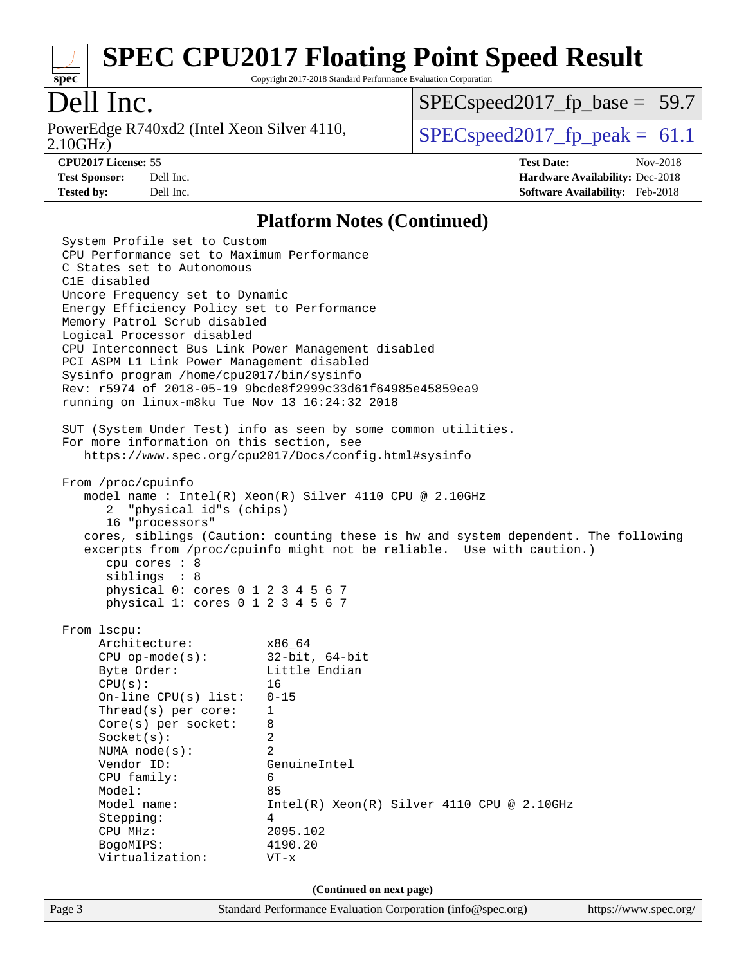

Copyright 2017-2018 Standard Performance Evaluation Corporation

### Dell Inc.

2.10GHz) PowerEdge R740xd2 (Intel Xeon Silver 4110,  $\vert$  [SPECspeed2017\\_fp\\_peak =](http://www.spec.org/auto/cpu2017/Docs/result-fields.html#SPECspeed2017fppeak) 61.1

 $SPECspeed2017<sub>fp</sub> base = 59.7$ 

**[CPU2017 License:](http://www.spec.org/auto/cpu2017/Docs/result-fields.html#CPU2017License)** 55 **[Test Date:](http://www.spec.org/auto/cpu2017/Docs/result-fields.html#TestDate)** Nov-2018 **[Test Sponsor:](http://www.spec.org/auto/cpu2017/Docs/result-fields.html#TestSponsor)** Dell Inc. **[Hardware Availability:](http://www.spec.org/auto/cpu2017/Docs/result-fields.html#HardwareAvailability)** Dec-2018 **[Tested by:](http://www.spec.org/auto/cpu2017/Docs/result-fields.html#Testedby)** Dell Inc. **[Software Availability:](http://www.spec.org/auto/cpu2017/Docs/result-fields.html#SoftwareAvailability)** Feb-2018

#### **[Platform Notes \(Continued\)](http://www.spec.org/auto/cpu2017/Docs/result-fields.html#PlatformNotes)**

Page 3 Standard Performance Evaluation Corporation [\(info@spec.org\)](mailto:info@spec.org) <https://www.spec.org/> System Profile set to Custom CPU Performance set to Maximum Performance C States set to Autonomous C1E disabled Uncore Frequency set to Dynamic Energy Efficiency Policy set to Performance Memory Patrol Scrub disabled Logical Processor disabled CPU Interconnect Bus Link Power Management disabled PCI ASPM L1 Link Power Management disabled Sysinfo program /home/cpu2017/bin/sysinfo Rev: r5974 of 2018-05-19 9bcde8f2999c33d61f64985e45859ea9 running on linux-m8ku Tue Nov 13 16:24:32 2018 SUT (System Under Test) info as seen by some common utilities. For more information on this section, see <https://www.spec.org/cpu2017/Docs/config.html#sysinfo> From /proc/cpuinfo model name : Intel(R) Xeon(R) Silver 4110 CPU @ 2.10GHz 2 "physical id"s (chips) 16 "processors" cores, siblings (Caution: counting these is hw and system dependent. The following excerpts from /proc/cpuinfo might not be reliable. Use with caution.) cpu cores : 8 siblings : 8 physical 0: cores 0 1 2 3 4 5 6 7 physical 1: cores 0 1 2 3 4 5 6 7 From lscpu: Architecture: x86\_64 CPU op-mode(s): 32-bit, 64-bit Byte Order: Little Endian  $CPU(s):$  16 On-line CPU(s) list: 0-15 Thread(s) per core: 1 Core(s) per socket: 8 Socket(s): 2 NUMA node(s): 2 Vendor ID: GenuineIntel CPU family: 6 Model: 85 Model name:  $Intel(R)$  Xeon(R) Silver 4110 CPU @ 2.10GHz Stepping: 4 CPU MHz: 2095.102 BogoMIPS: 4190.20 Virtualization: VT-x **(Continued on next page)**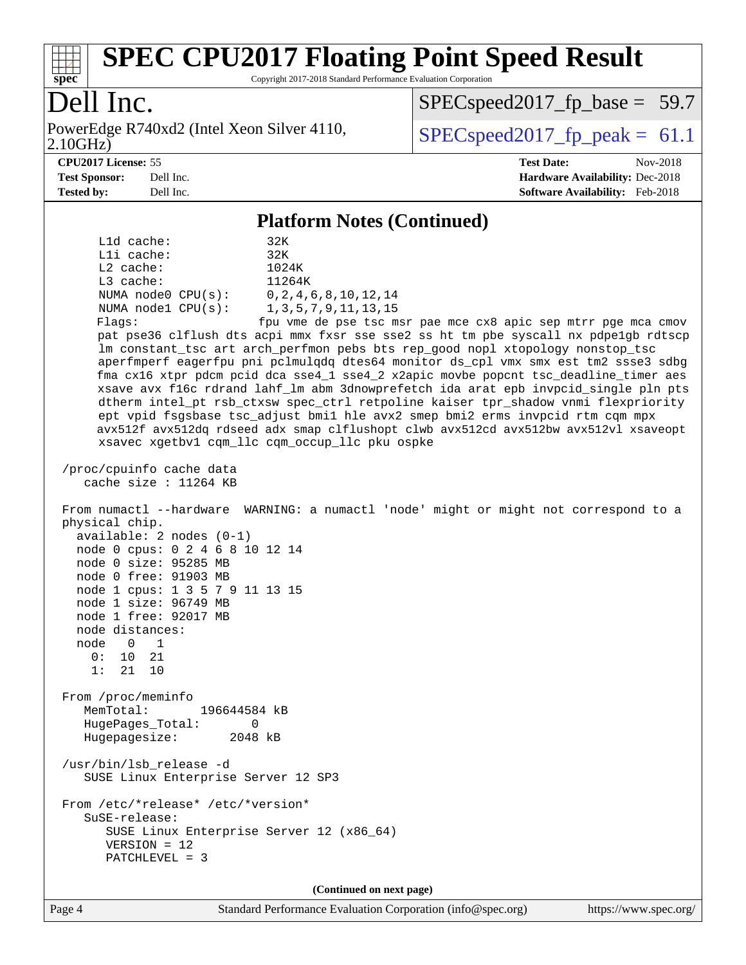

Copyright 2017-2018 Standard Performance Evaluation Corporation

## Dell Inc.

2.10GHz) PowerEdge R740xd2 (Intel Xeon Silver 4110,  $\vert$  [SPECspeed2017\\_fp\\_peak =](http://www.spec.org/auto/cpu2017/Docs/result-fields.html#SPECspeed2017fppeak) 61.1

[SPECspeed2017\\_fp\\_base =](http://www.spec.org/auto/cpu2017/Docs/result-fields.html#SPECspeed2017fpbase) 59.7

**[CPU2017 License:](http://www.spec.org/auto/cpu2017/Docs/result-fields.html#CPU2017License)** 55 **[Test Date:](http://www.spec.org/auto/cpu2017/Docs/result-fields.html#TestDate)** Nov-2018 **[Test Sponsor:](http://www.spec.org/auto/cpu2017/Docs/result-fields.html#TestSponsor)** Dell Inc. **[Hardware Availability:](http://www.spec.org/auto/cpu2017/Docs/result-fields.html#HardwareAvailability)** Dec-2018 **[Tested by:](http://www.spec.org/auto/cpu2017/Docs/result-fields.html#Testedby)** Dell Inc. **[Software Availability:](http://www.spec.org/auto/cpu2017/Docs/result-fields.html#SoftwareAvailability)** Feb-2018

#### **[Platform Notes \(Continued\)](http://www.spec.org/auto/cpu2017/Docs/result-fields.html#PlatformNotes)**

 L1d cache: 32K L1i cache: 32K L2 cache: 1024K L3 cache: 11264K NUMA node0 CPU(s): 0,2,4,6,8,10,12,14 NUMA node1 CPU(s): 1,3,5,7,9,11,13,15 Flags: fpu vme de pse tsc msr pae mce cx8 apic sep mtrr pge mca cmov pat pse36 clflush dts acpi mmx fxsr sse sse2 ss ht tm pbe syscall nx pdpe1gb rdtscp lm constant\_tsc art arch\_perfmon pebs bts rep\_good nopl xtopology nonstop\_tsc aperfmperf eagerfpu pni pclmulqdq dtes64 monitor ds\_cpl vmx smx est tm2 ssse3 sdbg fma cx16 xtpr pdcm pcid dca sse4\_1 sse4\_2 x2apic movbe popcnt tsc\_deadline\_timer aes xsave avx f16c rdrand lahf\_lm abm 3dnowprefetch ida arat epb invpcid\_single pln pts dtherm intel\_pt rsb\_ctxsw spec\_ctrl retpoline kaiser tpr\_shadow vnmi flexpriority ept vpid fsgsbase tsc\_adjust bmi1 hle avx2 smep bmi2 erms invpcid rtm cqm mpx avx512f avx512dq rdseed adx smap clflushopt clwb avx512cd avx512bw avx512vl xsaveopt xsavec xgetbv1 cqm\_llc cqm\_occup\_llc pku ospke /proc/cpuinfo cache data cache size : 11264 KB From numactl --hardware WARNING: a numactl 'node' might or might not correspond to a physical chip. available: 2 nodes (0-1) node 0 cpus: 0 2 4 6 8 10 12 14 node 0 size: 95285 MB node 0 free: 91903 MB node 1 cpus: 1 3 5 7 9 11 13 15 node 1 size: 96749 MB node 1 free: 92017 MB node distances: node 0 1  $0: 10 21$  1: 21 10 From /proc/meminfo MemTotal: 196644584 kB HugePages\_Total: 0 Hugepagesize: 2048 kB /usr/bin/lsb\_release -d SUSE Linux Enterprise Server 12 SP3 From /etc/\*release\* /etc/\*version\* SuSE-release: SUSE Linux Enterprise Server 12 (x86\_64) VERSION = 12 PATCHLEVEL = 3

**(Continued on next page)**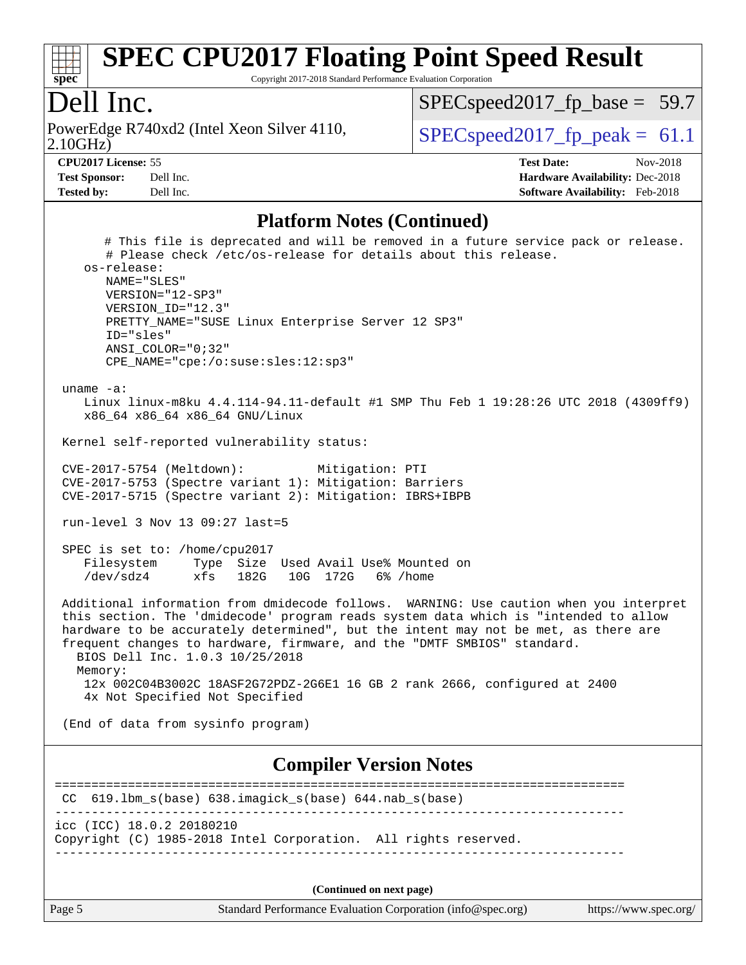

Copyright 2017-2018 Standard Performance Evaluation Corporation

#### Dell Inc.

2.10GHz) PowerEdge R740xd2 (Intel Xeon Silver 4110,  $\vert$  [SPECspeed2017\\_fp\\_peak =](http://www.spec.org/auto/cpu2017/Docs/result-fields.html#SPECspeed2017fppeak) 61.1

 $SPECspeed2017_fp\_base = 59.7$ 

**[Test Sponsor:](http://www.spec.org/auto/cpu2017/Docs/result-fields.html#TestSponsor)** Dell Inc. **[Hardware Availability:](http://www.spec.org/auto/cpu2017/Docs/result-fields.html#HardwareAvailability)** Dec-2018 **[Tested by:](http://www.spec.org/auto/cpu2017/Docs/result-fields.html#Testedby)** Dell Inc. **[Software Availability:](http://www.spec.org/auto/cpu2017/Docs/result-fields.html#SoftwareAvailability)** Feb-2018

**[CPU2017 License:](http://www.spec.org/auto/cpu2017/Docs/result-fields.html#CPU2017License)** 55 **[Test Date:](http://www.spec.org/auto/cpu2017/Docs/result-fields.html#TestDate)** Nov-2018

**[Platform Notes \(Continued\)](http://www.spec.org/auto/cpu2017/Docs/result-fields.html#PlatformNotes)**

 # This file is deprecated and will be removed in a future service pack or release. # Please check /etc/os-release for details about this release. os-release: NAME="SLES" VERSION="12-SP3" VERSION\_ID="12.3" PRETTY\_NAME="SUSE Linux Enterprise Server 12 SP3" ID="sles" ANSI\_COLOR="0;32" CPE\_NAME="cpe:/o:suse:sles:12:sp3" uname -a: Linux linux-m8ku 4.4.114-94.11-default #1 SMP Thu Feb 1 19:28:26 UTC 2018 (4309ff9) x86\_64 x86\_64 x86\_64 GNU/Linux Kernel self-reported vulnerability status: CVE-2017-5754 (Meltdown): Mitigation: PTI CVE-2017-5753 (Spectre variant 1): Mitigation: Barriers CVE-2017-5715 (Spectre variant 2): Mitigation: IBRS+IBPB run-level 3 Nov 13 09:27 last=5 SPEC is set to: /home/cpu2017 Filesystem Type Size Used Avail Use% Mounted on /dev/sdz4 xfs 182G 10G 172G 6% /home Additional information from dmidecode follows. WARNING: Use caution when you interpret this section. The 'dmidecode' program reads system data which is "intended to allow hardware to be accurately determined", but the intent may not be met, as there are frequent changes to hardware, firmware, and the "DMTF SMBIOS" standard. BIOS Dell Inc. 1.0.3 10/25/2018 Memory: 12x 002C04B3002C 18ASF2G72PDZ-2G6E1 16 GB 2 rank 2666, configured at 2400 4x Not Specified Not Specified (End of data from sysinfo program) **[Compiler Version Notes](http://www.spec.org/auto/cpu2017/Docs/result-fields.html#CompilerVersionNotes)** ============================================================================== CC 619.lbm\_s(base) 638.imagick\_s(base) 644.nab\_s(base) ----------------------------------------------------------------------------- icc (ICC) 18.0.2 20180210 Copyright (C) 1985-2018 Intel Corporation. All rights reserved. ------------------------------------------------------------------------------ **(Continued on next page)**

Page 5 Standard Performance Evaluation Corporation [\(info@spec.org\)](mailto:info@spec.org) <https://www.spec.org/>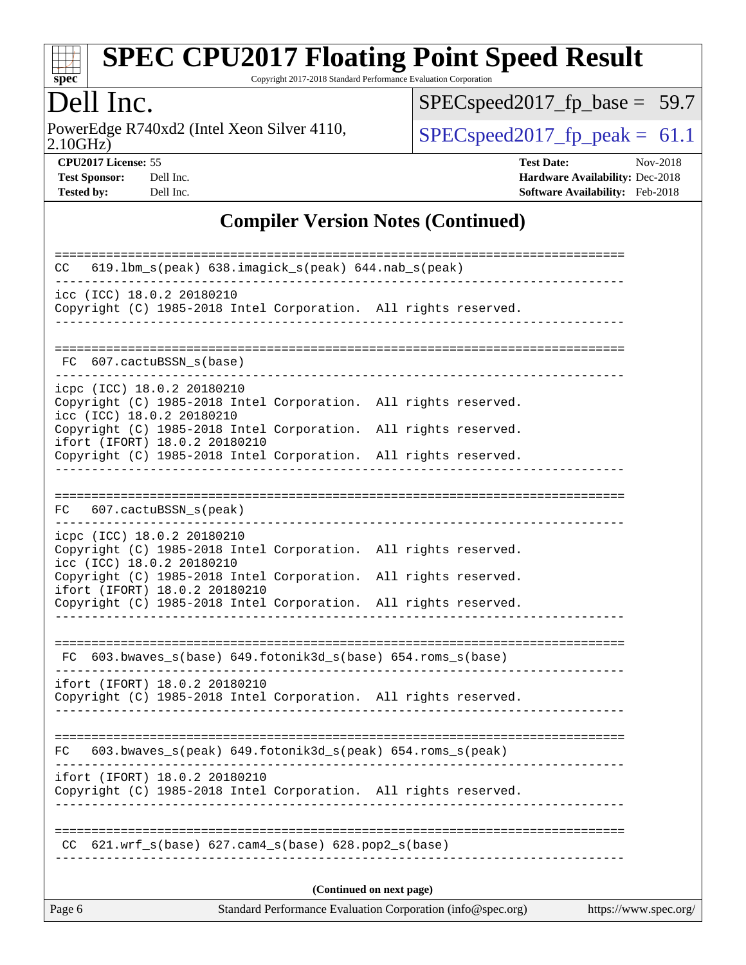

Copyright 2017-2018 Standard Performance Evaluation Corporation

## Dell Inc.

2.10GHz) PowerEdge R740xd2 (Intel Xeon Silver 4110,  $\boxed{\text{SPECspeed2017\_fp\_peak = 61.1}}$ 

[SPECspeed2017\\_fp\\_base =](http://www.spec.org/auto/cpu2017/Docs/result-fields.html#SPECspeed2017fpbase) 59.7

**[CPU2017 License:](http://www.spec.org/auto/cpu2017/Docs/result-fields.html#CPU2017License)** 55 **[Test Date:](http://www.spec.org/auto/cpu2017/Docs/result-fields.html#TestDate)** Nov-2018 **[Test Sponsor:](http://www.spec.org/auto/cpu2017/Docs/result-fields.html#TestSponsor)** Dell Inc. **[Hardware Availability:](http://www.spec.org/auto/cpu2017/Docs/result-fields.html#HardwareAvailability)** Dec-2018 **[Tested by:](http://www.spec.org/auto/cpu2017/Docs/result-fields.html#Testedby)** Dell Inc. **[Software Availability:](http://www.spec.org/auto/cpu2017/Docs/result-fields.html#SoftwareAvailability)** Feb-2018

#### **[Compiler Version Notes \(Continued\)](http://www.spec.org/auto/cpu2017/Docs/result-fields.html#CompilerVersionNotes)**

| 619.1bm_s(peak) 638.imagick_s(peak) 644.nab_s(peak)<br>CC                                                                                                           |  |  |  |  |  |  |  |  |
|---------------------------------------------------------------------------------------------------------------------------------------------------------------------|--|--|--|--|--|--|--|--|
| icc (ICC) 18.0.2 20180210<br>Copyright (C) 1985-2018 Intel Corporation. All rights reserved.                                                                        |  |  |  |  |  |  |  |  |
| FC 607.cactuBSSN s(base)                                                                                                                                            |  |  |  |  |  |  |  |  |
| icpc (ICC) 18.0.2 20180210<br>Copyright (C) 1985-2018 Intel Corporation. All rights reserved.<br>icc (ICC) 18.0.2 20180210                                          |  |  |  |  |  |  |  |  |
| Copyright (C) 1985-2018 Intel Corporation. All rights reserved.<br>ifort (IFORT) 18.0.2 20180210<br>Copyright (C) 1985-2018 Intel Corporation. All rights reserved. |  |  |  |  |  |  |  |  |
| FC 607.cactuBSSN_s(peak)                                                                                                                                            |  |  |  |  |  |  |  |  |
| icpc (ICC) 18.0.2 20180210<br>Copyright (C) 1985-2018 Intel Corporation. All rights reserved.<br>icc (ICC) 18.0.2 20180210                                          |  |  |  |  |  |  |  |  |
| Copyright (C) 1985-2018 Intel Corporation. All rights reserved.<br>ifort (IFORT) 18.0.2 20180210<br>Copyright (C) 1985-2018 Intel Corporation. All rights reserved. |  |  |  |  |  |  |  |  |
| FC 603.bwaves_s(base) 649.fotonik3d_s(base) 654.roms_s(base)                                                                                                        |  |  |  |  |  |  |  |  |
| ifort (IFORT) 18.0.2 20180210<br>Copyright (C) 1985-2018 Intel Corporation. All rights reserved.                                                                    |  |  |  |  |  |  |  |  |
| ===================<br>$603.bwaves_s (peak) 649.fotonik3d_s (peak) 654.roms_s (peak)$<br>FC.                                                                        |  |  |  |  |  |  |  |  |
| ifort (IFORT) 18.0.2 20180210<br>Copyright (C) 1985-2018 Intel Corporation. All rights reserved.                                                                    |  |  |  |  |  |  |  |  |
| 621.wrf_s(base) 627.cam4_s(base) 628.pop2_s(base)<br>CC.                                                                                                            |  |  |  |  |  |  |  |  |
| (Continued on next page)                                                                                                                                            |  |  |  |  |  |  |  |  |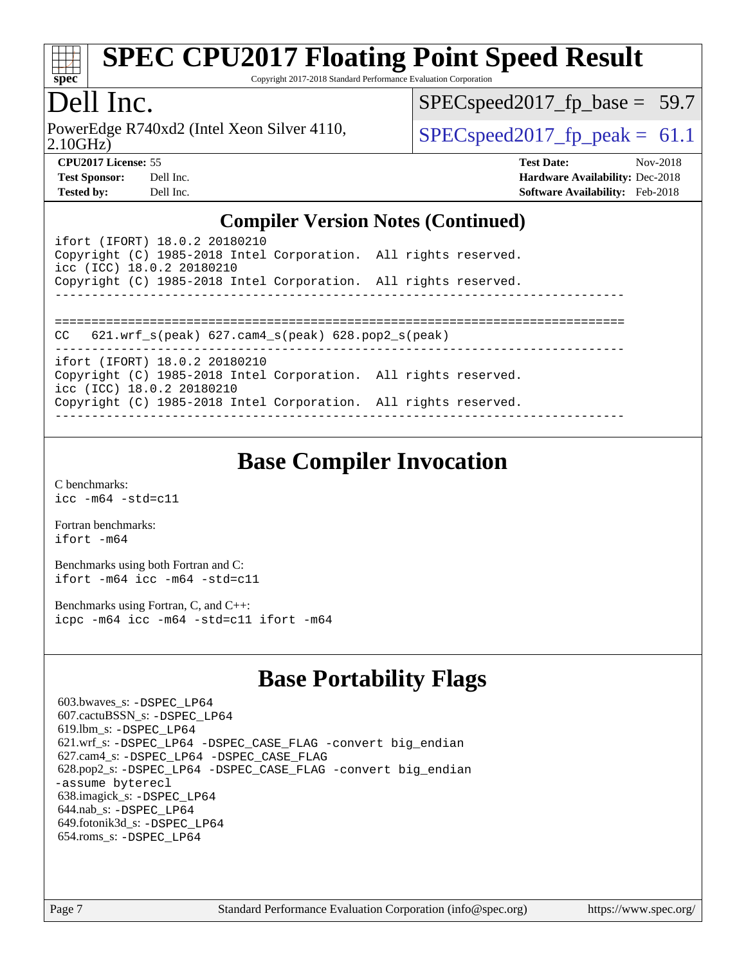

Copyright 2017-2018 Standard Performance Evaluation Corporation

## Dell Inc.

2.10GHz) PowerEdge R740xd2 (Intel Xeon Silver 4110,  $\vert$  [SPECspeed2017\\_fp\\_peak =](http://www.spec.org/auto/cpu2017/Docs/result-fields.html#SPECspeed2017fppeak) 61.1

 $SPECspeed2017_fp\_base = 59.7$ 

**[Test Sponsor:](http://www.spec.org/auto/cpu2017/Docs/result-fields.html#TestSponsor)** Dell Inc. **[Hardware Availability:](http://www.spec.org/auto/cpu2017/Docs/result-fields.html#HardwareAvailability)** Dec-2018

**[CPU2017 License:](http://www.spec.org/auto/cpu2017/Docs/result-fields.html#CPU2017License)** 55 **[Test Date:](http://www.spec.org/auto/cpu2017/Docs/result-fields.html#TestDate)** Nov-2018

#### **[Compiler Version Notes \(Continued\)](http://www.spec.org/auto/cpu2017/Docs/result-fields.html#CompilerVersionNotes)**

**[Tested by:](http://www.spec.org/auto/cpu2017/Docs/result-fields.html#Testedby)** Dell Inc. **[Software Availability:](http://www.spec.org/auto/cpu2017/Docs/result-fields.html#SoftwareAvailability)** Feb-2018

ifort (IFORT) 18.0.2 20180210 Copyright (C) 1985-2018 Intel Corporation. All rights reserved. icc (ICC) 18.0.2 20180210 Copyright (C) 1985-2018 Intel Corporation. All rights reserved. ------------------------------------------------------------------------------ ============================================================================== CC 621.wrf\_s(peak) 627.cam4\_s(peak) 628.pop2\_s(peak) ----------------------------------------------------------------------------- ifort (IFORT) 18.0.2 20180210 Copyright (C) 1985-2018 Intel Corporation. All rights reserved. icc (ICC) 18.0.2 20180210 Copyright (C) 1985-2018 Intel Corporation. All rights reserved. ------------------------------------------------------------------------------

## **[Base Compiler Invocation](http://www.spec.org/auto/cpu2017/Docs/result-fields.html#BaseCompilerInvocation)**

[C benchmarks](http://www.spec.org/auto/cpu2017/Docs/result-fields.html#Cbenchmarks): [icc -m64 -std=c11](http://www.spec.org/cpu2017/results/res2018q4/cpu2017-20181210-10215.flags.html#user_CCbase_intel_icc_64bit_c11_33ee0cdaae7deeeab2a9725423ba97205ce30f63b9926c2519791662299b76a0318f32ddfffdc46587804de3178b4f9328c46fa7c2b0cd779d7a61945c91cd35)

[Fortran benchmarks](http://www.spec.org/auto/cpu2017/Docs/result-fields.html#Fortranbenchmarks): [ifort -m64](http://www.spec.org/cpu2017/results/res2018q4/cpu2017-20181210-10215.flags.html#user_FCbase_intel_ifort_64bit_24f2bb282fbaeffd6157abe4f878425411749daecae9a33200eee2bee2fe76f3b89351d69a8130dd5949958ce389cf37ff59a95e7a40d588e8d3a57e0c3fd751)

[Benchmarks using both Fortran and C](http://www.spec.org/auto/cpu2017/Docs/result-fields.html#BenchmarksusingbothFortranandC): [ifort -m64](http://www.spec.org/cpu2017/results/res2018q4/cpu2017-20181210-10215.flags.html#user_CC_FCbase_intel_ifort_64bit_24f2bb282fbaeffd6157abe4f878425411749daecae9a33200eee2bee2fe76f3b89351d69a8130dd5949958ce389cf37ff59a95e7a40d588e8d3a57e0c3fd751) [icc -m64 -std=c11](http://www.spec.org/cpu2017/results/res2018q4/cpu2017-20181210-10215.flags.html#user_CC_FCbase_intel_icc_64bit_c11_33ee0cdaae7deeeab2a9725423ba97205ce30f63b9926c2519791662299b76a0318f32ddfffdc46587804de3178b4f9328c46fa7c2b0cd779d7a61945c91cd35)

[Benchmarks using Fortran, C, and C++:](http://www.spec.org/auto/cpu2017/Docs/result-fields.html#BenchmarksusingFortranCandCXX) [icpc -m64](http://www.spec.org/cpu2017/results/res2018q4/cpu2017-20181210-10215.flags.html#user_CC_CXX_FCbase_intel_icpc_64bit_4ecb2543ae3f1412ef961e0650ca070fec7b7afdcd6ed48761b84423119d1bf6bdf5cad15b44d48e7256388bc77273b966e5eb805aefd121eb22e9299b2ec9d9) [icc -m64 -std=c11](http://www.spec.org/cpu2017/results/res2018q4/cpu2017-20181210-10215.flags.html#user_CC_CXX_FCbase_intel_icc_64bit_c11_33ee0cdaae7deeeab2a9725423ba97205ce30f63b9926c2519791662299b76a0318f32ddfffdc46587804de3178b4f9328c46fa7c2b0cd779d7a61945c91cd35) [ifort -m64](http://www.spec.org/cpu2017/results/res2018q4/cpu2017-20181210-10215.flags.html#user_CC_CXX_FCbase_intel_ifort_64bit_24f2bb282fbaeffd6157abe4f878425411749daecae9a33200eee2bee2fe76f3b89351d69a8130dd5949958ce389cf37ff59a95e7a40d588e8d3a57e0c3fd751)

## **[Base Portability Flags](http://www.spec.org/auto/cpu2017/Docs/result-fields.html#BasePortabilityFlags)**

 603.bwaves\_s: [-DSPEC\\_LP64](http://www.spec.org/cpu2017/results/res2018q4/cpu2017-20181210-10215.flags.html#suite_basePORTABILITY603_bwaves_s_DSPEC_LP64) 607.cactuBSSN\_s: [-DSPEC\\_LP64](http://www.spec.org/cpu2017/results/res2018q4/cpu2017-20181210-10215.flags.html#suite_basePORTABILITY607_cactuBSSN_s_DSPEC_LP64) 619.lbm\_s: [-DSPEC\\_LP64](http://www.spec.org/cpu2017/results/res2018q4/cpu2017-20181210-10215.flags.html#suite_basePORTABILITY619_lbm_s_DSPEC_LP64) 621.wrf\_s: [-DSPEC\\_LP64](http://www.spec.org/cpu2017/results/res2018q4/cpu2017-20181210-10215.flags.html#suite_basePORTABILITY621_wrf_s_DSPEC_LP64) [-DSPEC\\_CASE\\_FLAG](http://www.spec.org/cpu2017/results/res2018q4/cpu2017-20181210-10215.flags.html#b621.wrf_s_baseCPORTABILITY_DSPEC_CASE_FLAG) [-convert big\\_endian](http://www.spec.org/cpu2017/results/res2018q4/cpu2017-20181210-10215.flags.html#user_baseFPORTABILITY621_wrf_s_convert_big_endian_c3194028bc08c63ac5d04de18c48ce6d347e4e562e8892b8bdbdc0214820426deb8554edfa529a3fb25a586e65a3d812c835984020483e7e73212c4d31a38223) 627.cam4\_s: [-DSPEC\\_LP64](http://www.spec.org/cpu2017/results/res2018q4/cpu2017-20181210-10215.flags.html#suite_basePORTABILITY627_cam4_s_DSPEC_LP64) [-DSPEC\\_CASE\\_FLAG](http://www.spec.org/cpu2017/results/res2018q4/cpu2017-20181210-10215.flags.html#b627.cam4_s_baseCPORTABILITY_DSPEC_CASE_FLAG) 628.pop2\_s: [-DSPEC\\_LP64](http://www.spec.org/cpu2017/results/res2018q4/cpu2017-20181210-10215.flags.html#suite_basePORTABILITY628_pop2_s_DSPEC_LP64) [-DSPEC\\_CASE\\_FLAG](http://www.spec.org/cpu2017/results/res2018q4/cpu2017-20181210-10215.flags.html#b628.pop2_s_baseCPORTABILITY_DSPEC_CASE_FLAG) [-convert big\\_endian](http://www.spec.org/cpu2017/results/res2018q4/cpu2017-20181210-10215.flags.html#user_baseFPORTABILITY628_pop2_s_convert_big_endian_c3194028bc08c63ac5d04de18c48ce6d347e4e562e8892b8bdbdc0214820426deb8554edfa529a3fb25a586e65a3d812c835984020483e7e73212c4d31a38223) [-assume byterecl](http://www.spec.org/cpu2017/results/res2018q4/cpu2017-20181210-10215.flags.html#user_baseFPORTABILITY628_pop2_s_assume_byterecl_7e47d18b9513cf18525430bbf0f2177aa9bf368bc7a059c09b2c06a34b53bd3447c950d3f8d6c70e3faf3a05c8557d66a5798b567902e8849adc142926523472) 638.imagick\_s: [-DSPEC\\_LP64](http://www.spec.org/cpu2017/results/res2018q4/cpu2017-20181210-10215.flags.html#suite_basePORTABILITY638_imagick_s_DSPEC_LP64) 644.nab\_s: [-DSPEC\\_LP64](http://www.spec.org/cpu2017/results/res2018q4/cpu2017-20181210-10215.flags.html#suite_basePORTABILITY644_nab_s_DSPEC_LP64) 649.fotonik3d\_s: [-DSPEC\\_LP64](http://www.spec.org/cpu2017/results/res2018q4/cpu2017-20181210-10215.flags.html#suite_basePORTABILITY649_fotonik3d_s_DSPEC_LP64) 654.roms\_s: [-DSPEC\\_LP64](http://www.spec.org/cpu2017/results/res2018q4/cpu2017-20181210-10215.flags.html#suite_basePORTABILITY654_roms_s_DSPEC_LP64)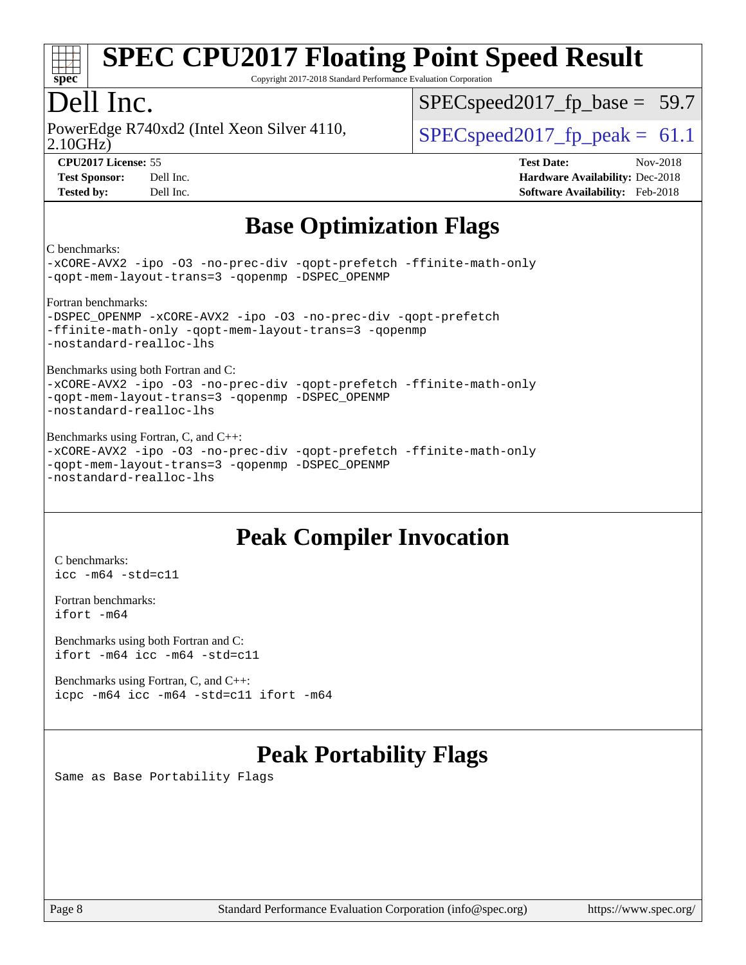

Copyright 2017-2018 Standard Performance Evaluation Corporation

## Dell Inc.

2.10GHz) PowerEdge R740xd2 (Intel Xeon Silver 4110,  $\vert$  [SPECspeed2017\\_fp\\_peak =](http://www.spec.org/auto/cpu2017/Docs/result-fields.html#SPECspeed2017fppeak) 61.1

 $SPECspeed2017<sub>fp</sub> base = 59.7$ 

**[CPU2017 License:](http://www.spec.org/auto/cpu2017/Docs/result-fields.html#CPU2017License)** 55 **[Test Date:](http://www.spec.org/auto/cpu2017/Docs/result-fields.html#TestDate)** Nov-2018 **[Test Sponsor:](http://www.spec.org/auto/cpu2017/Docs/result-fields.html#TestSponsor)** Dell Inc. **[Hardware Availability:](http://www.spec.org/auto/cpu2017/Docs/result-fields.html#HardwareAvailability)** Dec-2018 **[Tested by:](http://www.spec.org/auto/cpu2017/Docs/result-fields.html#Testedby)** Dell Inc. **[Software Availability:](http://www.spec.org/auto/cpu2017/Docs/result-fields.html#SoftwareAvailability)** Feb-2018

## **[Base Optimization Flags](http://www.spec.org/auto/cpu2017/Docs/result-fields.html#BaseOptimizationFlags)**

[C benchmarks:](http://www.spec.org/auto/cpu2017/Docs/result-fields.html#Cbenchmarks)

[-xCORE-AVX2](http://www.spec.org/cpu2017/results/res2018q4/cpu2017-20181210-10215.flags.html#user_CCbase_f-xCORE-AVX2) [-ipo](http://www.spec.org/cpu2017/results/res2018q4/cpu2017-20181210-10215.flags.html#user_CCbase_f-ipo) [-O3](http://www.spec.org/cpu2017/results/res2018q4/cpu2017-20181210-10215.flags.html#user_CCbase_f-O3) [-no-prec-div](http://www.spec.org/cpu2017/results/res2018q4/cpu2017-20181210-10215.flags.html#user_CCbase_f-no-prec-div) [-qopt-prefetch](http://www.spec.org/cpu2017/results/res2018q4/cpu2017-20181210-10215.flags.html#user_CCbase_f-qopt-prefetch) [-ffinite-math-only](http://www.spec.org/cpu2017/results/res2018q4/cpu2017-20181210-10215.flags.html#user_CCbase_f_finite_math_only_cb91587bd2077682c4b38af759c288ed7c732db004271a9512da14a4f8007909a5f1427ecbf1a0fb78ff2a814402c6114ac565ca162485bbcae155b5e4258871) [-qopt-mem-layout-trans=3](http://www.spec.org/cpu2017/results/res2018q4/cpu2017-20181210-10215.flags.html#user_CCbase_f-qopt-mem-layout-trans_de80db37974c74b1f0e20d883f0b675c88c3b01e9d123adea9b28688d64333345fb62bc4a798493513fdb68f60282f9a726aa07f478b2f7113531aecce732043) [-qopenmp](http://www.spec.org/cpu2017/results/res2018q4/cpu2017-20181210-10215.flags.html#user_CCbase_qopenmp_16be0c44f24f464004c6784a7acb94aca937f053568ce72f94b139a11c7c168634a55f6653758ddd83bcf7b8463e8028bb0b48b77bcddc6b78d5d95bb1df2967) [-DSPEC\\_OPENMP](http://www.spec.org/cpu2017/results/res2018q4/cpu2017-20181210-10215.flags.html#suite_CCbase_DSPEC_OPENMP)

[Fortran benchmarks:](http://www.spec.org/auto/cpu2017/Docs/result-fields.html#Fortranbenchmarks)

[-DSPEC\\_OPENMP](http://www.spec.org/cpu2017/results/res2018q4/cpu2017-20181210-10215.flags.html#suite_FCbase_DSPEC_OPENMP) [-xCORE-AVX2](http://www.spec.org/cpu2017/results/res2018q4/cpu2017-20181210-10215.flags.html#user_FCbase_f-xCORE-AVX2) [-ipo](http://www.spec.org/cpu2017/results/res2018q4/cpu2017-20181210-10215.flags.html#user_FCbase_f-ipo) [-O3](http://www.spec.org/cpu2017/results/res2018q4/cpu2017-20181210-10215.flags.html#user_FCbase_f-O3) [-no-prec-div](http://www.spec.org/cpu2017/results/res2018q4/cpu2017-20181210-10215.flags.html#user_FCbase_f-no-prec-div) [-qopt-prefetch](http://www.spec.org/cpu2017/results/res2018q4/cpu2017-20181210-10215.flags.html#user_FCbase_f-qopt-prefetch) [-ffinite-math-only](http://www.spec.org/cpu2017/results/res2018q4/cpu2017-20181210-10215.flags.html#user_FCbase_f_finite_math_only_cb91587bd2077682c4b38af759c288ed7c732db004271a9512da14a4f8007909a5f1427ecbf1a0fb78ff2a814402c6114ac565ca162485bbcae155b5e4258871) [-qopt-mem-layout-trans=3](http://www.spec.org/cpu2017/results/res2018q4/cpu2017-20181210-10215.flags.html#user_FCbase_f-qopt-mem-layout-trans_de80db37974c74b1f0e20d883f0b675c88c3b01e9d123adea9b28688d64333345fb62bc4a798493513fdb68f60282f9a726aa07f478b2f7113531aecce732043) [-qopenmp](http://www.spec.org/cpu2017/results/res2018q4/cpu2017-20181210-10215.flags.html#user_FCbase_qopenmp_16be0c44f24f464004c6784a7acb94aca937f053568ce72f94b139a11c7c168634a55f6653758ddd83bcf7b8463e8028bb0b48b77bcddc6b78d5d95bb1df2967) [-nostandard-realloc-lhs](http://www.spec.org/cpu2017/results/res2018q4/cpu2017-20181210-10215.flags.html#user_FCbase_f_2003_std_realloc_82b4557e90729c0f113870c07e44d33d6f5a304b4f63d4c15d2d0f1fab99f5daaed73bdb9275d9ae411527f28b936061aa8b9c8f2d63842963b95c9dd6426b8a)

[Benchmarks using both Fortran and C:](http://www.spec.org/auto/cpu2017/Docs/result-fields.html#BenchmarksusingbothFortranandC)

[-xCORE-AVX2](http://www.spec.org/cpu2017/results/res2018q4/cpu2017-20181210-10215.flags.html#user_CC_FCbase_f-xCORE-AVX2) [-ipo](http://www.spec.org/cpu2017/results/res2018q4/cpu2017-20181210-10215.flags.html#user_CC_FCbase_f-ipo) [-O3](http://www.spec.org/cpu2017/results/res2018q4/cpu2017-20181210-10215.flags.html#user_CC_FCbase_f-O3) [-no-prec-div](http://www.spec.org/cpu2017/results/res2018q4/cpu2017-20181210-10215.flags.html#user_CC_FCbase_f-no-prec-div) [-qopt-prefetch](http://www.spec.org/cpu2017/results/res2018q4/cpu2017-20181210-10215.flags.html#user_CC_FCbase_f-qopt-prefetch) [-ffinite-math-only](http://www.spec.org/cpu2017/results/res2018q4/cpu2017-20181210-10215.flags.html#user_CC_FCbase_f_finite_math_only_cb91587bd2077682c4b38af759c288ed7c732db004271a9512da14a4f8007909a5f1427ecbf1a0fb78ff2a814402c6114ac565ca162485bbcae155b5e4258871) [-qopt-mem-layout-trans=3](http://www.spec.org/cpu2017/results/res2018q4/cpu2017-20181210-10215.flags.html#user_CC_FCbase_f-qopt-mem-layout-trans_de80db37974c74b1f0e20d883f0b675c88c3b01e9d123adea9b28688d64333345fb62bc4a798493513fdb68f60282f9a726aa07f478b2f7113531aecce732043) [-qopenmp](http://www.spec.org/cpu2017/results/res2018q4/cpu2017-20181210-10215.flags.html#user_CC_FCbase_qopenmp_16be0c44f24f464004c6784a7acb94aca937f053568ce72f94b139a11c7c168634a55f6653758ddd83bcf7b8463e8028bb0b48b77bcddc6b78d5d95bb1df2967) [-DSPEC\\_OPENMP](http://www.spec.org/cpu2017/results/res2018q4/cpu2017-20181210-10215.flags.html#suite_CC_FCbase_DSPEC_OPENMP) [-nostandard-realloc-lhs](http://www.spec.org/cpu2017/results/res2018q4/cpu2017-20181210-10215.flags.html#user_CC_FCbase_f_2003_std_realloc_82b4557e90729c0f113870c07e44d33d6f5a304b4f63d4c15d2d0f1fab99f5daaed73bdb9275d9ae411527f28b936061aa8b9c8f2d63842963b95c9dd6426b8a)

[Benchmarks using Fortran, C, and C++:](http://www.spec.org/auto/cpu2017/Docs/result-fields.html#BenchmarksusingFortranCandCXX) [-xCORE-AVX2](http://www.spec.org/cpu2017/results/res2018q4/cpu2017-20181210-10215.flags.html#user_CC_CXX_FCbase_f-xCORE-AVX2) [-ipo](http://www.spec.org/cpu2017/results/res2018q4/cpu2017-20181210-10215.flags.html#user_CC_CXX_FCbase_f-ipo) [-O3](http://www.spec.org/cpu2017/results/res2018q4/cpu2017-20181210-10215.flags.html#user_CC_CXX_FCbase_f-O3) [-no-prec-div](http://www.spec.org/cpu2017/results/res2018q4/cpu2017-20181210-10215.flags.html#user_CC_CXX_FCbase_f-no-prec-div) [-qopt-prefetch](http://www.spec.org/cpu2017/results/res2018q4/cpu2017-20181210-10215.flags.html#user_CC_CXX_FCbase_f-qopt-prefetch) [-ffinite-math-only](http://www.spec.org/cpu2017/results/res2018q4/cpu2017-20181210-10215.flags.html#user_CC_CXX_FCbase_f_finite_math_only_cb91587bd2077682c4b38af759c288ed7c732db004271a9512da14a4f8007909a5f1427ecbf1a0fb78ff2a814402c6114ac565ca162485bbcae155b5e4258871) [-qopt-mem-layout-trans=3](http://www.spec.org/cpu2017/results/res2018q4/cpu2017-20181210-10215.flags.html#user_CC_CXX_FCbase_f-qopt-mem-layout-trans_de80db37974c74b1f0e20d883f0b675c88c3b01e9d123adea9b28688d64333345fb62bc4a798493513fdb68f60282f9a726aa07f478b2f7113531aecce732043) [-qopenmp](http://www.spec.org/cpu2017/results/res2018q4/cpu2017-20181210-10215.flags.html#user_CC_CXX_FCbase_qopenmp_16be0c44f24f464004c6784a7acb94aca937f053568ce72f94b139a11c7c168634a55f6653758ddd83bcf7b8463e8028bb0b48b77bcddc6b78d5d95bb1df2967) [-DSPEC\\_OPENMP](http://www.spec.org/cpu2017/results/res2018q4/cpu2017-20181210-10215.flags.html#suite_CC_CXX_FCbase_DSPEC_OPENMP) [-nostandard-realloc-lhs](http://www.spec.org/cpu2017/results/res2018q4/cpu2017-20181210-10215.flags.html#user_CC_CXX_FCbase_f_2003_std_realloc_82b4557e90729c0f113870c07e44d33d6f5a304b4f63d4c15d2d0f1fab99f5daaed73bdb9275d9ae411527f28b936061aa8b9c8f2d63842963b95c9dd6426b8a)

## **[Peak Compiler Invocation](http://www.spec.org/auto/cpu2017/Docs/result-fields.html#PeakCompilerInvocation)**

[C benchmarks](http://www.spec.org/auto/cpu2017/Docs/result-fields.html#Cbenchmarks): [icc -m64 -std=c11](http://www.spec.org/cpu2017/results/res2018q4/cpu2017-20181210-10215.flags.html#user_CCpeak_intel_icc_64bit_c11_33ee0cdaae7deeeab2a9725423ba97205ce30f63b9926c2519791662299b76a0318f32ddfffdc46587804de3178b4f9328c46fa7c2b0cd779d7a61945c91cd35)

[Fortran benchmarks](http://www.spec.org/auto/cpu2017/Docs/result-fields.html#Fortranbenchmarks): [ifort -m64](http://www.spec.org/cpu2017/results/res2018q4/cpu2017-20181210-10215.flags.html#user_FCpeak_intel_ifort_64bit_24f2bb282fbaeffd6157abe4f878425411749daecae9a33200eee2bee2fe76f3b89351d69a8130dd5949958ce389cf37ff59a95e7a40d588e8d3a57e0c3fd751)

[Benchmarks using both Fortran and C](http://www.spec.org/auto/cpu2017/Docs/result-fields.html#BenchmarksusingbothFortranandC): [ifort -m64](http://www.spec.org/cpu2017/results/res2018q4/cpu2017-20181210-10215.flags.html#user_CC_FCpeak_intel_ifort_64bit_24f2bb282fbaeffd6157abe4f878425411749daecae9a33200eee2bee2fe76f3b89351d69a8130dd5949958ce389cf37ff59a95e7a40d588e8d3a57e0c3fd751) [icc -m64 -std=c11](http://www.spec.org/cpu2017/results/res2018q4/cpu2017-20181210-10215.flags.html#user_CC_FCpeak_intel_icc_64bit_c11_33ee0cdaae7deeeab2a9725423ba97205ce30f63b9926c2519791662299b76a0318f32ddfffdc46587804de3178b4f9328c46fa7c2b0cd779d7a61945c91cd35)

[Benchmarks using Fortran, C, and C++:](http://www.spec.org/auto/cpu2017/Docs/result-fields.html#BenchmarksusingFortranCandCXX) [icpc -m64](http://www.spec.org/cpu2017/results/res2018q4/cpu2017-20181210-10215.flags.html#user_CC_CXX_FCpeak_intel_icpc_64bit_4ecb2543ae3f1412ef961e0650ca070fec7b7afdcd6ed48761b84423119d1bf6bdf5cad15b44d48e7256388bc77273b966e5eb805aefd121eb22e9299b2ec9d9) [icc -m64 -std=c11](http://www.spec.org/cpu2017/results/res2018q4/cpu2017-20181210-10215.flags.html#user_CC_CXX_FCpeak_intel_icc_64bit_c11_33ee0cdaae7deeeab2a9725423ba97205ce30f63b9926c2519791662299b76a0318f32ddfffdc46587804de3178b4f9328c46fa7c2b0cd779d7a61945c91cd35) [ifort -m64](http://www.spec.org/cpu2017/results/res2018q4/cpu2017-20181210-10215.flags.html#user_CC_CXX_FCpeak_intel_ifort_64bit_24f2bb282fbaeffd6157abe4f878425411749daecae9a33200eee2bee2fe76f3b89351d69a8130dd5949958ce389cf37ff59a95e7a40d588e8d3a57e0c3fd751)

## **[Peak Portability Flags](http://www.spec.org/auto/cpu2017/Docs/result-fields.html#PeakPortabilityFlags)**

Same as Base Portability Flags